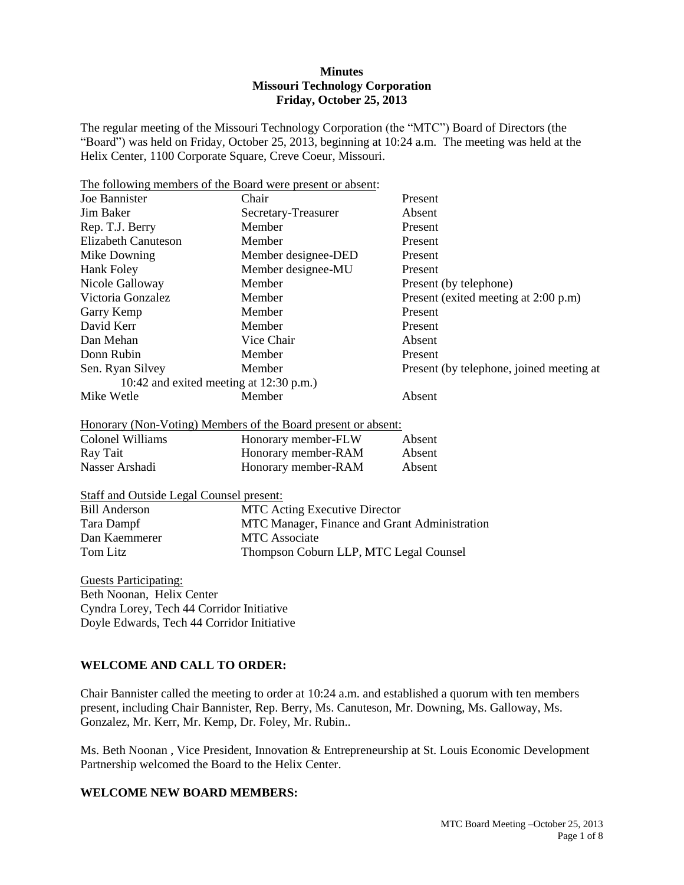#### **Minutes Missouri Technology Corporation Friday, October 25, 2013**

The regular meeting of the Missouri Technology Corporation (the "MTC") Board of Directors (the "Board") was held on Friday, October 25, 2013, beginning at 10:24 a.m. The meeting was held at the Helix Center, 1100 Corporate Square, Creve Coeur, Missouri.

| The following members of the Board were present or absent: |                                                               |                                          |
|------------------------------------------------------------|---------------------------------------------------------------|------------------------------------------|
| Joe Bannister                                              | Chair                                                         | Present                                  |
| <b>Jim Baker</b>                                           | Secretary-Treasurer                                           | Absent                                   |
| Rep. T.J. Berry                                            | Member                                                        | Present                                  |
| <b>Elizabeth Canuteson</b>                                 | Member                                                        | Present                                  |
| Mike Downing                                               | Member designee-DED                                           | Present                                  |
| <b>Hank Foley</b>                                          | Member designee-MU                                            | Present                                  |
| Nicole Galloway                                            | Member                                                        | Present (by telephone)                   |
| Victoria Gonzalez                                          | Member                                                        | Present (exited meeting at 2:00 p.m)     |
| Garry Kemp                                                 | Member                                                        | Present                                  |
| David Kerr                                                 | Member                                                        | Present                                  |
| Dan Mehan                                                  | Vice Chair                                                    | Absent                                   |
| Donn Rubin                                                 | Member                                                        | Present                                  |
| Sen. Ryan Silvey                                           | Member                                                        | Present (by telephone, joined meeting at |
| 10:42 and exited meeting at 12:30 p.m.)                    |                                                               |                                          |
| Mike Wetle                                                 | Member                                                        | Absent                                   |
|                                                            | Honorary (Non-Voting) Members of the Board present or absent: |                                          |
| <b>Colonel Williams</b>                                    | Honorary member-FLW                                           | Absent                                   |
| Ray Tait                                                   | Honorary member-RAM                                           | Absent                                   |
| Nasser Arshadi                                             | Honorary member-RAM                                           | Absent                                   |
| <b>Staff and Outside Legal Counsel present:</b>            |                                                               |                                          |
| <b>Bill Anderson</b>                                       | <b>MTC Acting Executive Director</b>                          |                                          |
| Tara Dampf                                                 | MTC Manager, Finance and Grant Administration                 |                                          |
| Dan Kaemmerer                                              | <b>MTC</b> Associate                                          |                                          |
| <b>Tom Litz</b>                                            | Thompson Coburn LLP, MTC Legal Counsel                        |                                          |
| <b>Guests Participating:</b>                               |                                                               |                                          |
| Beth Noonan, Helix Center                                  |                                                               |                                          |

Cyndra Lorey, Tech 44 Corridor Initiative Doyle Edwards, Tech 44 Corridor Initiative

### **WELCOME AND CALL TO ORDER:**

Chair Bannister called the meeting to order at 10:24 a.m. and established a quorum with ten members present, including Chair Bannister, Rep. Berry, Ms. Canuteson, Mr. Downing, Ms. Galloway, Ms. Gonzalez, Mr. Kerr, Mr. Kemp, Dr. Foley, Mr. Rubin..

Ms. Beth Noonan , Vice President, Innovation & Entrepreneurship at St. Louis Economic Development Partnership welcomed the Board to the Helix Center.

# **WELCOME NEW BOARD MEMBERS:**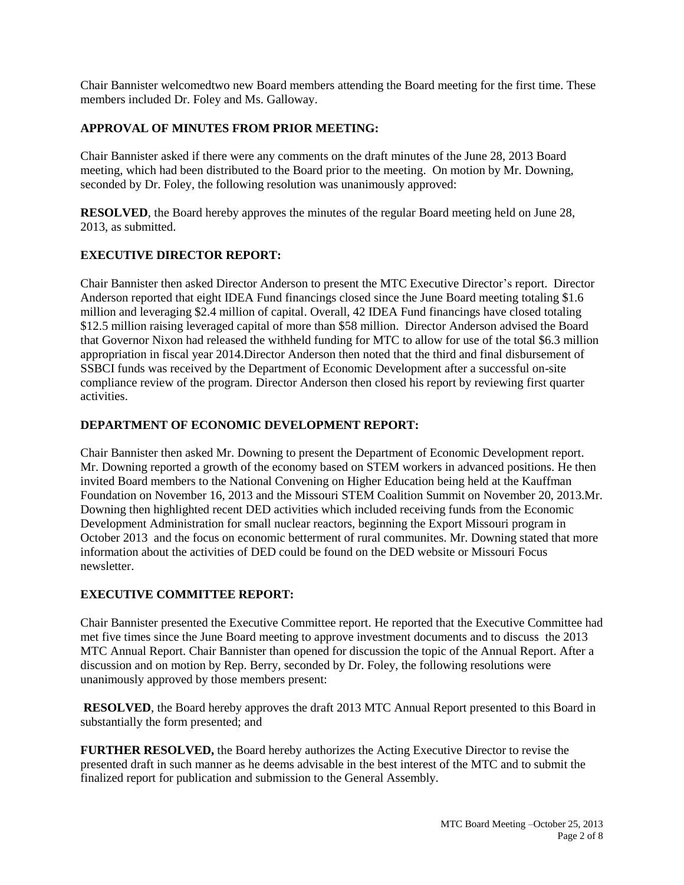Chair Bannister welcomedtwo new Board members attending the Board meeting for the first time. These members included Dr. Foley and Ms. Galloway.

### **APPROVAL OF MINUTES FROM PRIOR MEETING:**

Chair Bannister asked if there were any comments on the draft minutes of the June 28, 2013 Board meeting, which had been distributed to the Board prior to the meeting. On motion by Mr. Downing, seconded by Dr. Foley, the following resolution was unanimously approved:

**RESOLVED**, the Board hereby approves the minutes of the regular Board meeting held on June 28, 2013, as submitted.

## **EXECUTIVE DIRECTOR REPORT:**

Chair Bannister then asked Director Anderson to present the MTC Executive Director's report. Director Anderson reported that eight IDEA Fund financings closed since the June Board meeting totaling \$1.6 million and leveraging \$2.4 million of capital. Overall, 42 IDEA Fund financings have closed totaling \$12.5 million raising leveraged capital of more than \$58 million. Director Anderson advised the Board that Governor Nixon had released the withheld funding for MTC to allow for use of the total \$6.3 million appropriation in fiscal year 2014.Director Anderson then noted that the third and final disbursement of SSBCI funds was received by the Department of Economic Development after a successful on-site compliance review of the program. Director Anderson then closed his report by reviewing first quarter activities.

#### **DEPARTMENT OF ECONOMIC DEVELOPMENT REPORT:**

Chair Bannister then asked Mr. Downing to present the Department of Economic Development report. Mr. Downing reported a growth of the economy based on STEM workers in advanced positions. He then invited Board members to the National Convening on Higher Education being held at the Kauffman Foundation on November 16, 2013 and the Missouri STEM Coalition Summit on November 20, 2013.Mr. Downing then highlighted recent DED activities which included receiving funds from the Economic Development Administration for small nuclear reactors, beginning the Export Missouri program in October 2013 and the focus on economic betterment of rural communites. Mr. Downing stated that more information about the activities of DED could be found on the DED website or Missouri Focus newsletter.

#### **EXECUTIVE COMMITTEE REPORT:**

Chair Bannister presented the Executive Committee report. He reported that the Executive Committee had met five times since the June Board meeting to approve investment documents and to discuss the 2013 MTC Annual Report. Chair Bannister than opened for discussion the topic of the Annual Report. After a discussion and on motion by Rep. Berry, seconded by Dr. Foley, the following resolutions were unanimously approved by those members present:

**RESOLVED**, the Board hereby approves the draft 2013 MTC Annual Report presented to this Board in substantially the form presented; and

**FURTHER RESOLVED,** the Board hereby authorizes the Acting Executive Director to revise the presented draft in such manner as he deems advisable in the best interest of the MTC and to submit the finalized report for publication and submission to the General Assembly.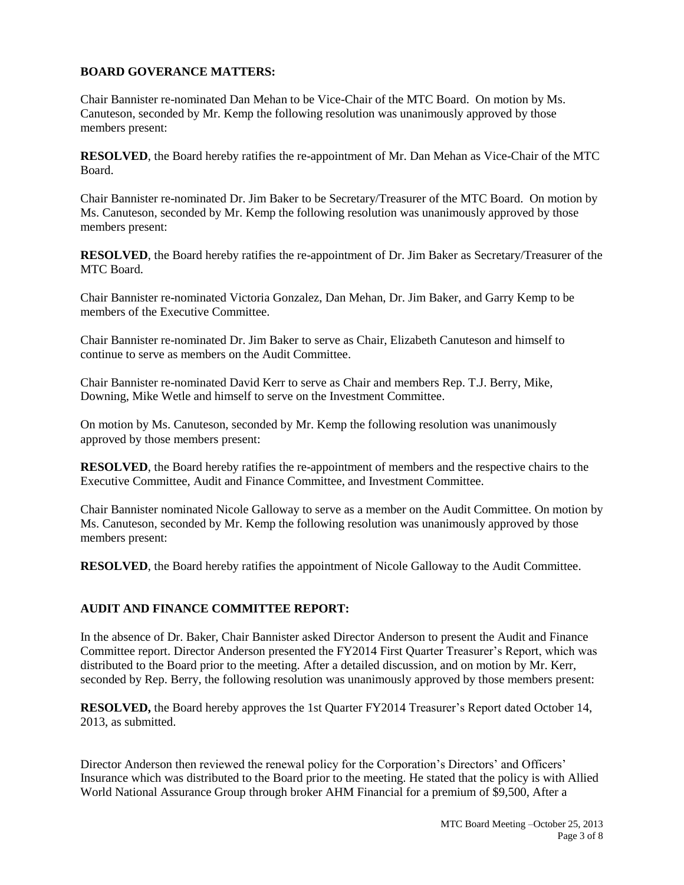### **BOARD GOVERANCE MATTERS:**

Chair Bannister re-nominated Dan Mehan to be Vice-Chair of the MTC Board. On motion by Ms. Canuteson, seconded by Mr. Kemp the following resolution was unanimously approved by those members present:

**RESOLVED**, the Board hereby ratifies the re-appointment of Mr. Dan Mehan as Vice-Chair of the MTC Board.

Chair Bannister re-nominated Dr. Jim Baker to be Secretary/Treasurer of the MTC Board. On motion by Ms. Canuteson, seconded by Mr. Kemp the following resolution was unanimously approved by those members present:

**RESOLVED**, the Board hereby ratifies the re-appointment of Dr. Jim Baker as Secretary/Treasurer of the MTC Board.

Chair Bannister re-nominated Victoria Gonzalez, Dan Mehan, Dr. Jim Baker, and Garry Kemp to be members of the Executive Committee.

Chair Bannister re-nominated Dr. Jim Baker to serve as Chair, Elizabeth Canuteson and himself to continue to serve as members on the Audit Committee.

Chair Bannister re-nominated David Kerr to serve as Chair and members Rep. T.J. Berry, Mike, Downing, Mike Wetle and himself to serve on the Investment Committee.

On motion by Ms. Canuteson, seconded by Mr. Kemp the following resolution was unanimously approved by those members present:

**RESOLVED**, the Board hereby ratifies the re-appointment of members and the respective chairs to the Executive Committee, Audit and Finance Committee, and Investment Committee.

Chair Bannister nominated Nicole Galloway to serve as a member on the Audit Committee. On motion by Ms. Canuteson, seconded by Mr. Kemp the following resolution was unanimously approved by those members present:

**RESOLVED**, the Board hereby ratifies the appointment of Nicole Galloway to the Audit Committee.

#### **AUDIT AND FINANCE COMMITTEE REPORT:**

In the absence of Dr. Baker, Chair Bannister asked Director Anderson to present the Audit and Finance Committee report. Director Anderson presented the FY2014 First Quarter Treasurer's Report, which was distributed to the Board prior to the meeting. After a detailed discussion, and on motion by Mr. Kerr, seconded by Rep. Berry, the following resolution was unanimously approved by those members present:

**RESOLVED,** the Board hereby approves the 1st Quarter FY2014 Treasurer's Report dated October 14, 2013, as submitted.

Director Anderson then reviewed the renewal policy for the Corporation's Directors' and Officers' Insurance which was distributed to the Board prior to the meeting. He stated that the policy is with Allied World National Assurance Group through broker AHM Financial for a premium of \$9,500, After a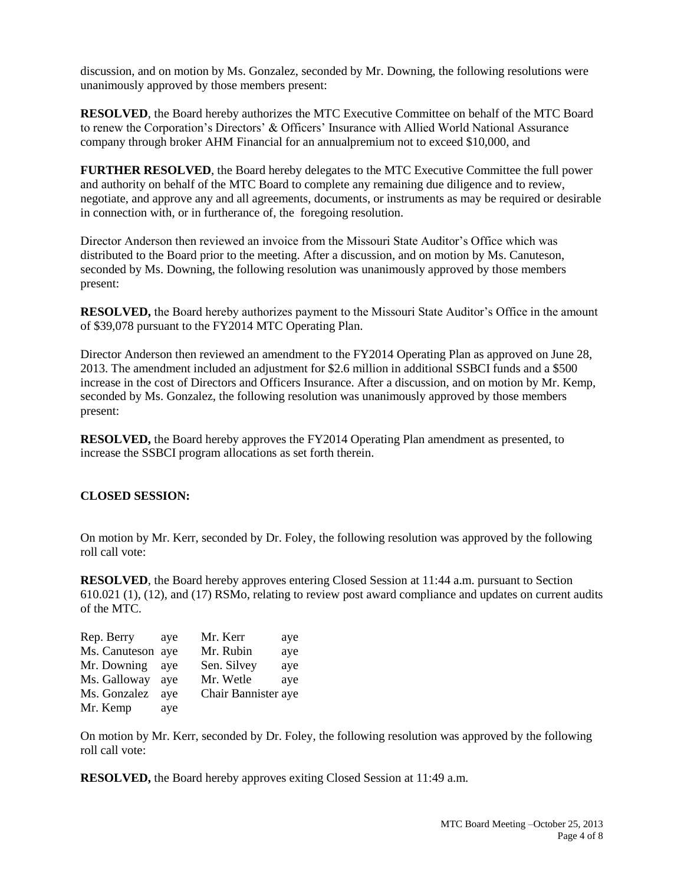discussion, and on motion by Ms. Gonzalez, seconded by Mr. Downing, the following resolutions were unanimously approved by those members present:

**RESOLVED**, the Board hereby authorizes the MTC Executive Committee on behalf of the MTC Board to renew the Corporation's Directors' & Officers' Insurance with Allied World National Assurance company through broker AHM Financial for an annualpremium not to exceed \$10,000, and

**FURTHER RESOLVED**, the Board hereby delegates to the MTC Executive Committee the full power and authority on behalf of the MTC Board to complete any remaining due diligence and to review, negotiate, and approve any and all agreements, documents, or instruments as may be required or desirable in connection with, or in furtherance of, the foregoing resolution.

Director Anderson then reviewed an invoice from the Missouri State Auditor's Office which was distributed to the Board prior to the meeting. After a discussion, and on motion by Ms. Canuteson, seconded by Ms. Downing, the following resolution was unanimously approved by those members present:

**RESOLVED,** the Board hereby authorizes payment to the Missouri State Auditor's Office in the amount of \$39,078 pursuant to the FY2014 MTC Operating Plan.

Director Anderson then reviewed an amendment to the FY2014 Operating Plan as approved on June 28, 2013. The amendment included an adjustment for \$2.6 million in additional SSBCI funds and a \$500 increase in the cost of Directors and Officers Insurance. After a discussion, and on motion by Mr. Kemp, seconded by Ms. Gonzalez, the following resolution was unanimously approved by those members present:

**RESOLVED,** the Board hereby approves the FY2014 Operating Plan amendment as presented, to increase the SSBCI program allocations as set forth therein.

## **CLOSED SESSION:**

On motion by Mr. Kerr, seconded by Dr. Foley, the following resolution was approved by the following roll call vote:

**RESOLVED**, the Board hereby approves entering Closed Session at 11:44 a.m. pursuant to Section 610.021 (1), (12), and (17) RSMo, relating to review post award compliance and updates on current audits of the MTC.

| Rep. Berry        | ave | Mr. Kerr            | aye |
|-------------------|-----|---------------------|-----|
| Ms. Canuteson aye |     | Mr. Rubin           | aye |
| Mr. Downing       | ave | Sen. Silvey         | aye |
| Ms. Galloway      | ave | Mr. Wetle           | aye |
| Ms. Gonzalez      | ave | Chair Bannister aye |     |
| Mr. Kemp          | aye |                     |     |

On motion by Mr. Kerr, seconded by Dr. Foley, the following resolution was approved by the following roll call vote:

**RESOLVED,** the Board hereby approves exiting Closed Session at 11:49 a.m.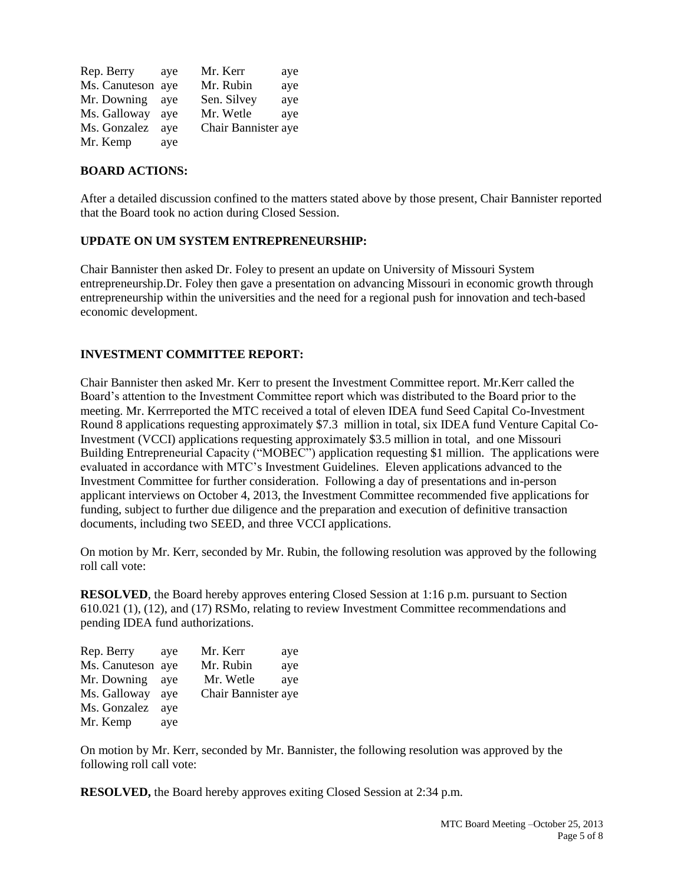| Rep. Berry        | aye | Mr. Kerr            | aye |
|-------------------|-----|---------------------|-----|
| Ms. Canuteson aye |     | Mr. Rubin           | aye |
| Mr. Downing       | ave | Sen. Silvey         | aye |
| Ms. Galloway      | ave | Mr. Wetle           | aye |
| Ms. Gonzalez      | ave | Chair Bannister aye |     |
| Mr. Kemp          | aye |                     |     |

#### **BOARD ACTIONS:**

After a detailed discussion confined to the matters stated above by those present, Chair Bannister reported that the Board took no action during Closed Session.

#### **UPDATE ON UM SYSTEM ENTREPRENEURSHIP:**

Chair Bannister then asked Dr. Foley to present an update on University of Missouri System entrepreneurship.Dr. Foley then gave a presentation on advancing Missouri in economic growth through entrepreneurship within the universities and the need for a regional push for innovation and tech-based economic development.

#### **INVESTMENT COMMITTEE REPORT:**

Chair Bannister then asked Mr. Kerr to present the Investment Committee report. Mr.Kerr called the Board's attention to the Investment Committee report which was distributed to the Board prior to the meeting. Mr. Kerrreported the MTC received a total of eleven IDEA fund Seed Capital Co-Investment Round 8 applications requesting approximately \$7.3 million in total, six IDEA fund Venture Capital Co-Investment (VCCI) applications requesting approximately \$3.5 million in total, and one Missouri Building Entrepreneurial Capacity ("MOBEC") application requesting \$1 million. The applications were evaluated in accordance with MTC's Investment Guidelines. Eleven applications advanced to the Investment Committee for further consideration. Following a day of presentations and in-person applicant interviews on October 4, 2013, the Investment Committee recommended five applications for funding, subject to further due diligence and the preparation and execution of definitive transaction documents, including two SEED, and three VCCI applications.

On motion by Mr. Kerr, seconded by Mr. Rubin, the following resolution was approved by the following roll call vote:

**RESOLVED**, the Board hereby approves entering Closed Session at 1:16 p.m. pursuant to Section 610.021 (1), (12), and (17) RSMo, relating to review Investment Committee recommendations and pending IDEA fund authorizations.

| Rep. Berry        | ave | Mr. Kerr            | aye |
|-------------------|-----|---------------------|-----|
| Ms. Canuteson aye |     | Mr. Rubin           | aye |
| Mr. Downing       | ave | Mr. Wetle           | aye |
| Ms. Galloway      | ave | Chair Bannister aye |     |
| Ms. Gonzalez      | ave |                     |     |
| Mr. Kemp          | aye |                     |     |

On motion by Mr. Kerr, seconded by Mr. Bannister, the following resolution was approved by the following roll call vote:

**RESOLVED,** the Board hereby approves exiting Closed Session at 2:34 p.m.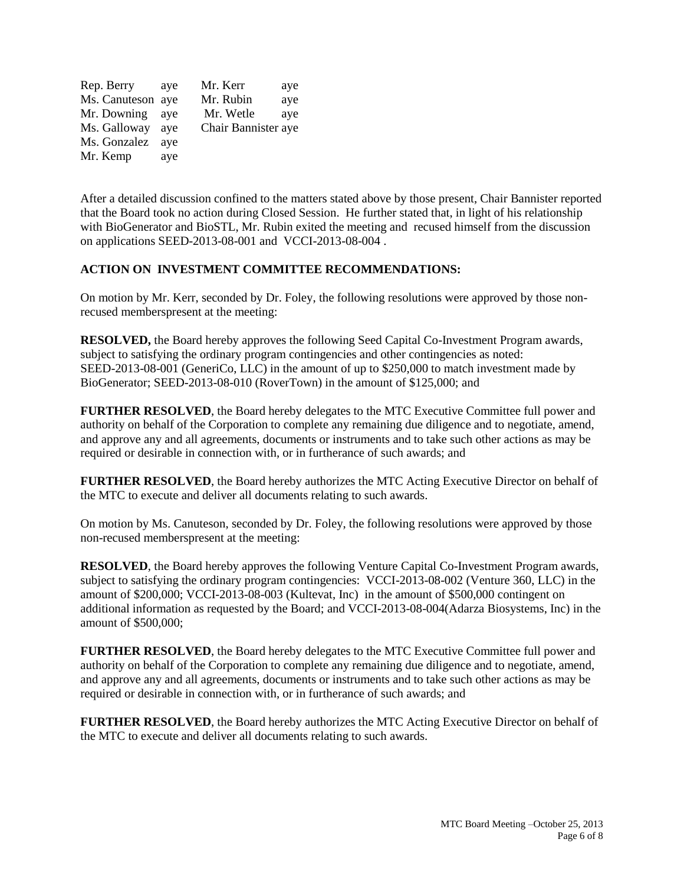| Rep. Berry        | aye | Mr. Kerr            | aye |
|-------------------|-----|---------------------|-----|
| Ms. Canuteson aye |     | Mr. Rubin           | aye |
| Mr. Downing       | ave | Mr. Wetle           | aye |
| Ms. Galloway      | ave | Chair Bannister aye |     |
| Ms. Gonzalez      | ave |                     |     |
| Mr. Kemp          | aye |                     |     |

After a detailed discussion confined to the matters stated above by those present, Chair Bannister reported that the Board took no action during Closed Session. He further stated that, in light of his relationship with BioGenerator and BioSTL, Mr. Rubin exited the meeting and recused himself from the discussion on applications SEED-2013-08-001 and VCCI-2013-08-004 .

#### **ACTION ON INVESTMENT COMMITTEE RECOMMENDATIONS:**

On motion by Mr. Kerr, seconded by Dr. Foley, the following resolutions were approved by those nonrecused memberspresent at the meeting:

**RESOLVED,** the Board hereby approves the following Seed Capital Co-Investment Program awards, subject to satisfying the ordinary program contingencies and other contingencies as noted: SEED-2013-08-001 (GeneriCo, LLC) in the amount of up to \$250,000 to match investment made by BioGenerator; SEED-2013-08-010 (RoverTown) in the amount of \$125,000; and

**FURTHER RESOLVED**, the Board hereby delegates to the MTC Executive Committee full power and authority on behalf of the Corporation to complete any remaining due diligence and to negotiate, amend, and approve any and all agreements, documents or instruments and to take such other actions as may be required or desirable in connection with, or in furtherance of such awards; and

**FURTHER RESOLVED**, the Board hereby authorizes the MTC Acting Executive Director on behalf of the MTC to execute and deliver all documents relating to such awards.

On motion by Ms. Canuteson, seconded by Dr. Foley, the following resolutions were approved by those non-recused memberspresent at the meeting:

**RESOLVED**, the Board hereby approves the following Venture Capital Co-Investment Program awards, subject to satisfying the ordinary program contingencies: VCCI-2013-08-002 (Venture 360, LLC) in the amount of \$200,000; VCCI-2013-08-003 (Kultevat, Inc) in the amount of \$500,000 contingent on additional information as requested by the Board; and VCCI-2013-08-004(Adarza Biosystems, Inc) in the amount of \$500,000;

**FURTHER RESOLVED**, the Board hereby delegates to the MTC Executive Committee full power and authority on behalf of the Corporation to complete any remaining due diligence and to negotiate, amend, and approve any and all agreements, documents or instruments and to take such other actions as may be required or desirable in connection with, or in furtherance of such awards; and

**FURTHER RESOLVED**, the Board hereby authorizes the MTC Acting Executive Director on behalf of the MTC to execute and deliver all documents relating to such awards.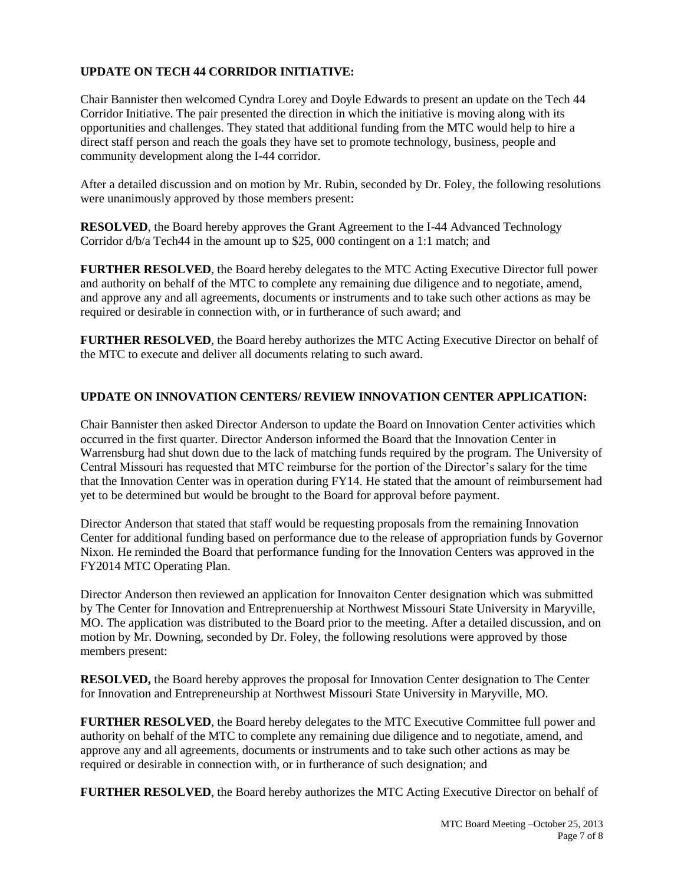# **UPDATE ON TECH 44 CORRIDOR INITIATIVE:**

Chair Bannister then welcomed Cyndra Lorey and Doyle Edwards to present an update on the Tech 44 Corridor Initiative. The pair presented the direction in which the initiative is moving along with its opportunities and challenges. They stated that additional funding from the MTC would help to hire a direct staff person and reach the goals they have set to promote technology, business, people and community development along the I-44 corridor.

After a detailed discussion and on motion by Mr. Rubin, seconded by Dr. Foley, the following resolutions were unanimously approved by those members present:

**RESOLVED**, the Board hereby approves the Grant Agreement to the I-44 Advanced Technology Corridor d/b/a Tech44 in the amount up to \$25, 000 contingent on a 1:1 match; and

**FURTHER RESOLVED**, the Board hereby delegates to the MTC Acting Executive Director full power and authority on behalf of the MTC to complete any remaining due diligence and to negotiate, amend, and approve any and all agreements, documents or instruments and to take such other actions as may be required or desirable in connection with, or in furtherance of such award; and

**FURTHER RESOLVED**, the Board hereby authorizes the MTC Acting Executive Director on behalf of the MTC to execute and deliver all documents relating to such award.

## **UPDATE ON INNOVATION CENTERS/ REVIEW INNOVATION CENTER APPLICATION:**

Chair Bannister then asked Director Anderson to update the Board on Innovation Center activities which occurred in the first quarter. Director Anderson informed the Board that the Innovation Center in Warrensburg had shut down due to the lack of matching funds required by the program. The University of Central Missouri has requested that MTC reimburse for the portion of the Director's salary for the time that the Innovation Center was in operation during FY14. He stated that the amount of reimbursement had yet to be determined but would be brought to the Board for approval before payment.

Director Anderson that stated that staff would be requesting proposals from the remaining Innovation Center for additional funding based on performance due to the release of appropriation funds by Governor Nixon. He reminded the Board that performance funding for the Innovation Centers was approved in the FY2014 MTC Operating Plan.

Director Anderson then reviewed an application for Innovaiton Center designation which was submitted by The Center for Innovation and Entreprenuership at Northwest Missouri State University in Maryville, MO. The application was distributed to the Board prior to the meeting. After a detailed discussion, and on motion by Mr. Downing, seconded by Dr. Foley, the following resolutions were approved by those members present:

**RESOLVED,** the Board hereby approves the proposal for Innovation Center designation to The Center for Innovation and Entrepreneurship at Northwest Missouri State University in Maryville, MO.

**FURTHER RESOLVED**, the Board hereby delegates to the MTC Executive Committee full power and authority on behalf of the MTC to complete any remaining due diligence and to negotiate, amend, and approve any and all agreements, documents or instruments and to take such other actions as may be required or desirable in connection with, or in furtherance of such designation; and

**FURTHER RESOLVED**, the Board hereby authorizes the MTC Acting Executive Director on behalf of